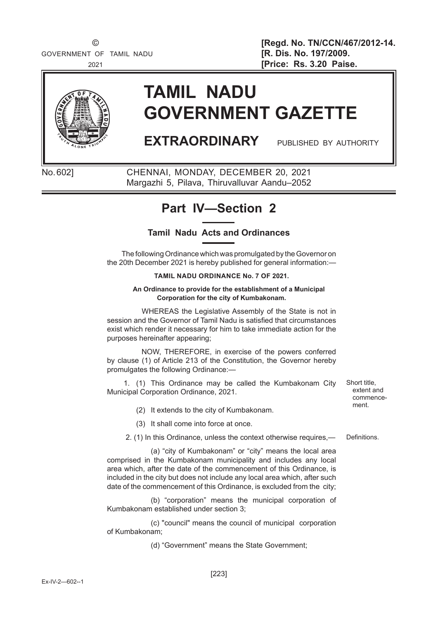

# **TAMIL NADU GOVERNMENT GAZETTE**

## **EXTRAORDINARY** PUBLISHED BY AUTHORITY

No. 602] CHENNAI, MONDAY, DECEMBER 20, 2021 Margazhi 5, Pilava, Thiruvalluvar Aandu–2052

### **Part IV—Section 2**

### **Tamil Nadu Acts and Ordinances**

The following Ordinance which was promulgated by the Governor on the 20th December 2021 is hereby published for general information:—

#### **TAMIL NADU ORDINANCE No. 7 OF 2021.**

#### **An Ordinance to provide for the establishment of a Municipal Corporation for the city of Kumbakonam.**

 WHEREAS the Legislative Assembly of the State is not in session and the Governor of Tamil Nadu is satisfied that circumstances exist which render it necessary for him to take immediate action for the purposes hereinafter appearing;

 NOW, THEREFORE, in exercise of the powers conferred by clause (1) of Article 213 of the Constitution, the Governor hereby promulgates the following Ordinance:—

 1. (1) This Ordinance may be called the Kumbakonam City Municipal Corporation Ordinance, 2021.

ment. (2) It extends to the city of Kumbakonam.

(3) It shall come into force at once.

2. (1) In this Ordinance, unless the context otherwise requires,— Definitions.

 (a) "city of Kumbakonam" or "city" means the local area comprised in the Kumbakonam municipality and includes any local area which, after the date of the commencement of this Ordinance, is included in the city but does not include any local area which, after such date of the commencement of this Ordinance, is excluded from the city;

 (b) "corporation" means the municipal corporation of Kumbakonam established under section 3;

 (c) "council" means the council of municipal corporation of Kumbakonam;

(d) "Government" means the State Government;

Short title, extent and commence-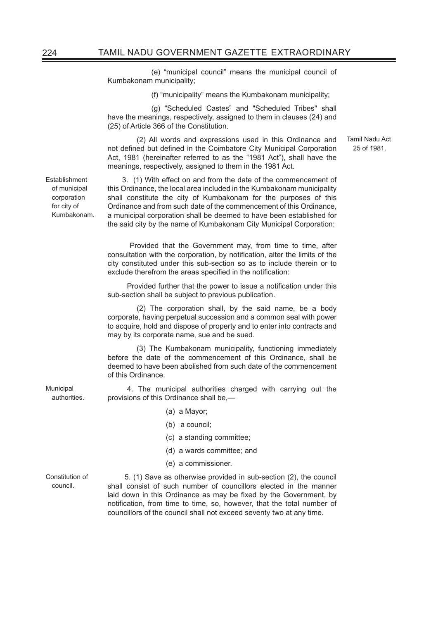(e) "municipal council" means the municipal council of Kumbakonam municipality;

(f) "municipality" means the Kumbakonam municipality;

 (g) "Scheduled Castes" and "Scheduled Tribes" shall have the meanings, respectively, assigned to them in clauses (24) and (25) of Article 366 of the Constitution.

 (2) All words and expressions used in this Ordinance and not defined but defined in the Coimbatore City Municipal Corporation Act, 1981 (hereinafter referred to as the "1981 Act"), shall have the meanings, respectively, assigned to them in the 1981 Act.

3. (1) With effect on and from the date of the commencement of this Ordinance, the local area included in the Kumbakonam municipality shall constitute the city of Kumbakonam for the purposes of this Ordinance and from such date of the commencement of this Ordinance, a municipal corporation shall be deemed to have been established for the said city by the name of Kumbakonam City Municipal Corporation:

 Provided that the Government may, from time to time, after consultation with the corporation, by notification, alter the limits of the city constituted under this sub-section so as to include therein or to exclude therefrom the areas specified in the notification:

Provided further that the power to issue a notification under this sub-section shall be subject to previous publication.

 (2) The corporation shall, by the said name, be a body corporate, having perpetual succession and a common seal with power to acquire, hold and dispose of property and to enter into contracts and may by its corporate name, sue and be sued.

 (3) The Kumbakonam municipality, functioning immediately before the date of the commencement of this Ordinance, shall be deemed to have been abolished from such date of the commencement of this Ordinance.

 4. The municipal authorities charged with carrying out the provisions of this Ordinance shall be,—

- (a) a Mayor;
- (b) a council;
- (c) a standing committee;
- (d) a wards committee; and
- (e) a commissioner.

Constitution of 5. (1) Save as otherwise provided in sub-section (2), the council shall consist of such number of councillors elected in the manner laid down in this Ordinance as may be fixed by the Government, by notification, from time to time, so, however, that the total number of councillors of the council shall not exceed seventy two at any time.

Establishment of municipal corporation for city of Kumbakonam.

council.

Tamil Nadu Act 25 of 1981.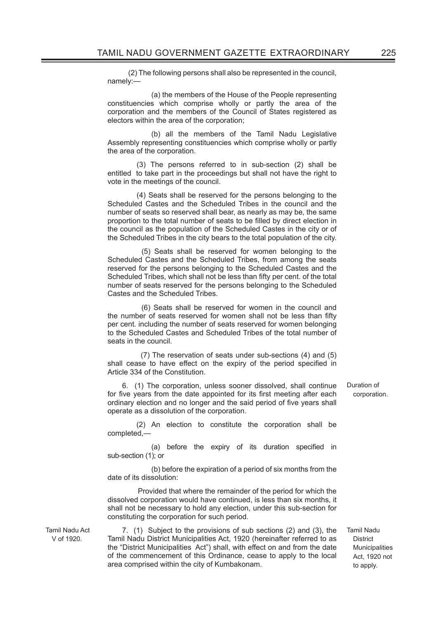(2) The following persons shall also be represented in the council, namely:—

 (a) the members of the House of the People representing constituencies which comprise wholly or partly the area of the corporation and the members of the Council of States registered as electors within the area of the corporation;

 (b) all the members of the Tamil Nadu Legislative Assembly representing constituencies which comprise wholly or partly the area of the corporation.

 (3) The persons referred to in sub-section (2) shall be entitled to take part in the proceedings but shall not have the right to vote in the meetings of the council.

 (4) Seats shall be reserved for the persons belonging to the Scheduled Castes and the Scheduled Tribes in the council and the number of seats so reserved shall bear, as nearly as may be, the same proportion to the total number of seats to be filled by direct election in the council as the population of the Scheduled Castes in the city or of the Scheduled Tribes in the city bears to the total population of the city.

 (5) Seats shall be reserved for women belonging to the Scheduled Castes and the Scheduled Tribes, from among the seats reserved for the persons belonging to the Scheduled Castes and the Scheduled Tribes, which shall not be less than fifty per cent. of the total number of seats reserved for the persons belonging to the Scheduled Castes and the Scheduled Tribes.

 (6) Seats shall be reserved for women in the council and the number of seats reserved for women shall not be less than fifty per cent. including the number of seats reserved for women belonging to the Scheduled Castes and Scheduled Tribes of the total number of seats in the council.

 (7) The reservation of seats under sub-sections (4) and (5) shall cease to have effect on the expiry of the period specified in Article 334 of the Constitution.

6. (1) The corporation, unless sooner dissolved, shall continue for five years from the date appointed for its first meeting after each ordinary election and no longer and the said period of five years shall operate as a dissolution of the corporation.

 (2) An election to constitute the corporation shall be completed,—

 $(a)$  before the expiry of its duration specified in sub-section (1); or

 (b) before the expiration of a period of six months from the date of its dissolution:

 Provided that where the remainder of the period for which the dissolved corporation would have continued, is less than six months, it shall not be necessary to hold any election, under this sub-section for constituting the corporation for such period.

Tamil Nadu Act V of 1920.

7. (1) Subject to the provisions of sub sections (2) and (3), the Tamil Nadu District Municipalities Act, 1920 (hereinafter referred to as the "District Municipalities Act") shall, with effect on and from the date of the commencement of this Ordinance, cease to apply to the local area comprised within the city of Kumbakonam.

Duration of corporation.

Tamil Nadu **District Municipalities** Act, 1920 not to apply.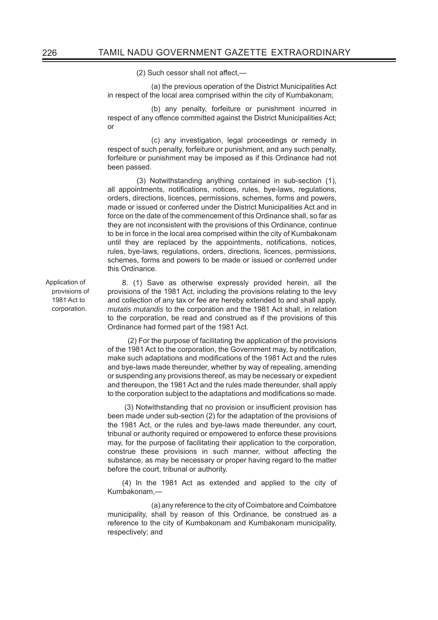$(2)$  Such cessor shall not affect. $-$ 

 (a) the previous operation of the District Municipalities Act in respect of the local area comprised within the city of Kumbakonam;

 (b) any penalty, forfeiture or punishment incurred in respect of any offence committed against the District Municipalities Act; or

 (c) any investigation, legal proceedings or remedy in respect of such penalty, forfeiture or punishment, and any such penalty, forfeiture or punishment may be imposed as if this Ordinance had not been passed.

 (3) Notwithstanding anything contained in sub-section (1), all appointments, notifications, notices, rules, bye-laws, regulations, orders, directions, licences, permissions, schemes, forms and powers, made or issued or conferred under the District Municipalities Act and in force on the date of the commencement of this Ordinance shall, so far as they are not inconsistent with the provisions of this Ordinance, continue to be in force in the local area comprised within the city of Kumbakonam until they are replaced by the appointments, notifications, notices, rules, bye-laws, regulations, orders, directions, licences, permissions, schemes, forms and powers to be made or issued or conferred under this Ordinance.

Application of provisions of 1981 Act to corporation.

8. (1) Save as otherwise expressly provided herein, all the provisions of the 1981 Act, including the provisions relating to the levy and collection of any tax or fee are hereby extended to and shall apply, *mutatis mutandis* to the corporation and the 1981 Act shall, in relation to the corporation, be read and construed as if the provisions of this Ordinance had formed part of the 1981 Act.

 (2) For the purpose of facilitating the application of the provisions of the 1981 Act to the corporation, the Government may, by notification, make such adaptations and modifications of the 1981 Act and the rules and bye-laws made thereunder, whether by way of repealing, amending or suspending any provisions thereof, as may be necessary or expedient and thereupon, the 1981 Act and the rules made thereunder, shall apply to the corporation subject to the adaptations and modifications so made.

(3) Notwithstanding that no provision or insufficient provision has been made under sub-section (2) for the adaptation of the provisions of the 1981 Act, or the rules and bye-laws made thereunder, any court, tribunal or authority required or empowered to enforce these provisions may, for the purpose of facilitating their application to the corporation, construe these provisions in such manner, without affecting the substance, as may be necessary or proper having regard to the matter before the court, tribunal or authority.

(4) In the 1981 Act as extended and applied to the city of Kumbakonam,—

 (a) any reference to the city of Coimbatore and Coimbatore municipality, shall by reason of this Ordinance, be construed as a reference to the city of Kumbakonam and Kumbakonam municipality, respectively; and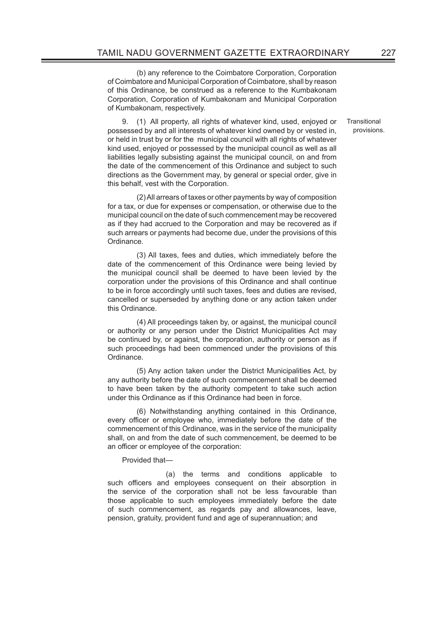(b) any reference to the Coimbatore Corporation, Corporation of Coimbatore and Municipal Corporation of Coimbatore, shall by reason of this Ordinance, be construed as a reference to the Kumbakonam Corporation, Corporation of Kumbakonam and Municipal Corporation of Kumbakonam, respectively.

9. (1) All property, all rights of whatever kind, used, enjoyed or possessed by and all interests of whatever kind owned by or vested in, or held in trust by or for the municipal council with all rights of whatever kind used, enjoyed or possessed by the municipal council as well as all liabilities legally subsisting against the municipal council, on and from the date of the commencement of this Ordinance and subject to such directions as the Government may, by general or special order, give in this behalf, vest with the Corporation.

 (2) All arrears of taxes or other payments by way of composition for a tax, or due for expenses or compensation, or otherwise due to the municipal council on the date of such commencement may be recovered as if they had accrued to the Corporation and may be recovered as if such arrears or payments had become due, under the provisions of this Ordinance.

 (3) All taxes, fees and duties, which immediately before the date of the commencement of this Ordinance were being levied by the municipal council shall be deemed to have been levied by the corporation under the provisions of this Ordinance and shall continue to be in force accordingly until such taxes, fees and duties are revised, cancelled or superseded by anything done or any action taken under this Ordinance.

 (4) All proceedings taken by, or against, the municipal council or authority or any person under the District Municipalities Act may be continued by, or against, the corporation, authority or person as if such proceedings had been commenced under the provisions of this Ordinance.

 (5) Any action taken under the District Municipalities Act, by any authority before the date of such commencement shall be deemed to have been taken by the authority competent to take such action under this Ordinance as if this Ordinance had been in force.

 (6) Notwithstanding anything contained in this Ordinance, every officer or employee who, immediately before the date of the commencement of this Ordinance, was in the service of the municipality shall, on and from the date of such commencement, be deemed to be an officer or employee of the corporation:

#### Provided that—

 (a) the terms and conditions applicable to such officers and employees consequent on their absorption in the service of the corporation shall not be less favourable than those applicable to such employees immediately before the date of such commencement, as regards pay and allowances, leave, pension, gratuity, provident fund and age of superannuation; and

**Transitional** provisions.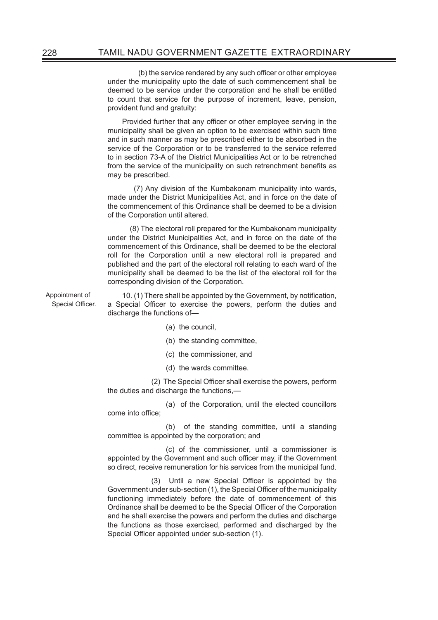(b) the service rendered by any such officer or other employee under the municipality upto the date of such commencement shall be deemed to be service under the corporation and he shall be entitled to count that service for the purpose of increment, leave, pension, provident fund and gratuity:

Provided further that any officer or other employee serving in the municipality shall be given an option to be exercised within such time and in such manner as may be prescribed either to be absorbed in the service of the Corporation or to be transferred to the service referred to in section 73-A of the District Municipalities Act or to be retrenched from the service of the municipality on such retrenchment benefits as may be prescribed.

 (7) Any division of the Kumbakonam municipality into wards, made under the District Municipalities Act, and in force on the date of the commencement of this Ordinance shall be deemed to be a division of the Corporation until altered.

 (8) The electoral roll prepared for the Kumbakonam municipality under the District Municipalities Act, and in force on the date of the commencement of this Ordinance, shall be deemed to be the electoral roll for the Corporation until a new electoral roll is prepared and published and the part of the electoral roll relating to each ward of the municipality shall be deemed to be the list of the electoral roll for the corresponding division of the Corporation.

Appointment of Special Officer.

10. (1) There shall be appointed by the Government, by notification, a Special Officer to exercise the powers, perform the duties and discharge the functions of—

- (a) the council,
- (b) the standing committee,
- (c) the commissioner, and
- (d) the wards committee.

(2) The Special Officer shall exercise the powers, perform the duties and discharge the functions,—

 (a) of the Corporation, until the elected councillors come into office:

 (b) of the standing committee, until a standing committee is appointed by the corporation; and

 (c) of the commissioner, until a commissioner is appointed by the Government and such officer may, if the Government so direct, receive remuneration for his services from the municipal fund.

(3) Until a new Special Officer is appointed by the Government under sub-section (1), the Special Officer of the municipality functioning immediately before the date of commencement of this Ordinance shall be deemed to be the Special Officer of the Corporation and he shall exercise the powers and perform the duties and discharge the functions as those exercised, performed and discharged by the Special Officer appointed under sub-section (1).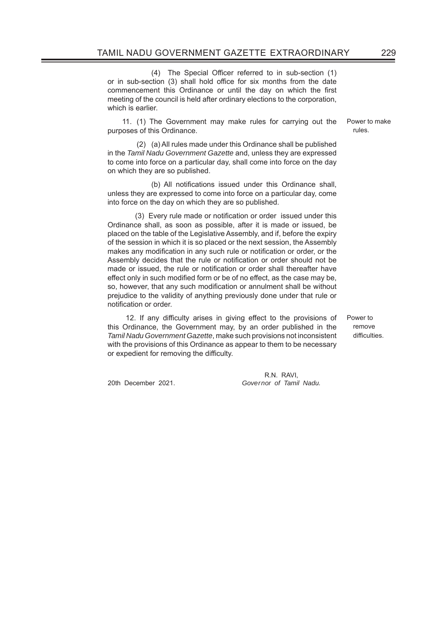(4) The Special Officer referred to in sub-section (1) or in sub-section (3) shall hold office for six months from the date commencement this Ordinance or until the day on which the first meeting of the council is held after ordinary elections to the corporation, which is earlier.

11. (1) The Government may make rules for carrying out the purposes of this Ordinance.

 (2) (a) All rules made under this Ordinance shall be published in the *Tamil Nadu Government Gazette* and, unless they are expressed to come into force on a particular day, shall come into force on the day on which they are so published.

(b) All notifications issued under this Ordinance shall, unless they are expressed to come into force on a particular day, come into force on the day on which they are so published.

(3) Every rule made or notification or order issued under this Ordinance shall, as soon as possible, after it is made or issued, be placed on the table of the Legislative Assembly, and if, before the expiry of the session in which it is so placed or the next session, the Assembly makes any modification in any such rule or notification or order, or the Assembly decides that the rule or notification or order should not be made or issued, the rule or notification or order shall thereafter have effect only in such modified form or be of no effect, as the case may be, so, however, that any such modification or annulment shall be without prejudice to the validity of anything previously done under that rule or notification or order.

12. If any difficulty arises in giving effect to the provisions of this Ordinance, the Government may, by an order published in the *Tamil Nadu Government Gazette*, make such provisions not inconsistent with the provisions of this Ordinance as appear to them to be necessary or expedient for removing the difficulty.

 R.N. RAVI, 20th December 2021. *Governor of Tamil Nadu.* Power to make rules.

Power to remove difficulties.